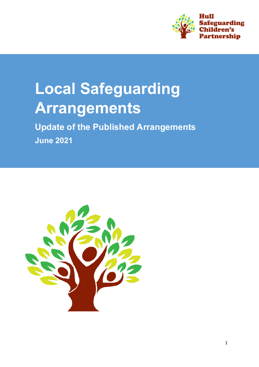

# Local Safeguarding Arrangements

Update of the Published Arrangements June 2021

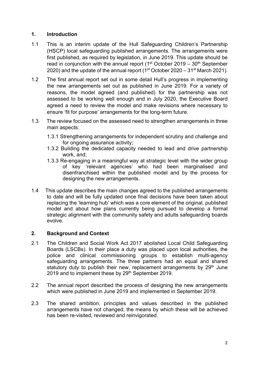# 1. Introduction

- 1.1 This is an interim update of the Hull Safeguarding Children's Partnership (HSCP) local safeguarding published arrangements. The arrangements were first published, as required by legislation, in June 2019. This update should be read in conjunction with the annual report ( $1<sup>st</sup>$  October 2019 –  $30<sup>th</sup>$  September 2020) and the update of the annual report ( $1<sup>st</sup> October 2020 - 31<sup>st</sup> March 2021$ ).
- 1.2 The first annual report set out in some detail Hull's progress in implementing the new arrangements set out as published in June 2019. For a variety of reasons, the model agreed (and published) for the partnership was not assessed to be working well enough and in July 2020, the Executive Board agreed a need to review the model and make revisions where necessary to ensure 'fit for purpose' arrangements for the long-term future.
- 1.3 The review focused on the assessed need to strengthen arrangements in three main aspects:
	- 1.3.1 Strengthening arrangements for independent scrutiny and challenge and for ongoing assurance activity;
	- 1.3.2 Building the dedicated capacity needed to lead and drive partnership work, and;
	- 1.3.3 Re-engaging in a meaningful way at strategic level with the wider group of key 'relevant agencies' who had been marginalised and disenfranchised within the published model and by the process for designing the new arrangements.
- 1.4 This update describes the main changes agreed to the published arrangements to date and will be fully updated once final decisions have been taken about replacing the 'learning hub' which was a core element of the original, published model and about how plans currently being pursued to develop a formal strategic alignment with the community safety and adults safeguarding boards evolve.

### 2. Background and Context

- 2.1 The Children and Social Work Act 2017 abolished Local Child Safeguarding Boards (LSCBs). In their place a duty was placed upon local authorities, the police and clinical commissioning groups to establish multi-agency safeguarding arrangements. The three partners had an equal and shared statutory duty to publish their new, replacement arrangements by  $29<sup>th</sup>$  June 2019 and to implement these by 29<sup>th</sup> September 2019.
- 2.2 The annual report described the process of designing the new arrangements which were published in June 2019 and implemented in September 2019.
- 2.3 The shared ambition, principles and values described in the published arrangements have not changed; the means by which these will be achieved has been re-visited, reviewed and reinvigorated.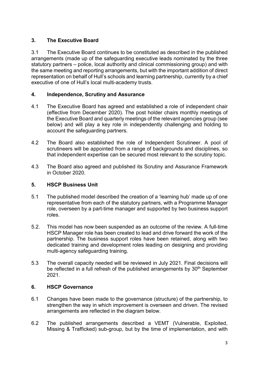# 3. The Executive Board

3.1 The Executive Board continues to be constituted as described in the published arrangements (made up of the safeguarding executive leads nominated by the three statutory partners – police, local authority and clinical commissioning group) and with the same meeting and reporting arrangements, but with the important addition of direct representation on behalf of Hull's schools and learning partnership, currently by a chief executive of one of Hull's local multi-academy trusts.

## 4. Independence, Scrutiny and Assurance

- 4.1 The Executive Board has agreed and established a role of independent chair (effective from December 2020). The post holder chairs monthly meetings of the Executive Board and quarterly meetings of the relevant agencies group (see below) and will play a key role in independently challenging and holding to account the safeguarding partners.
- 4.2 The Board also established the role of Independent Scrutineer. A pool of scrutineers will be appointed from a range of backgrounds and disciplines, so that independent expertise can be secured most relevant to the scrutiny topic.
- 4.3 The Board also agreed and published its Scrutiny and Assurance Framework in October 2020.

### 5. HSCP Business Unit

- 5.1 The published model described the creation of a 'learning hub' made up of one representative from each of the statutory partners, with a Programme Manager role, overseen by a part-time manager and supported by two business support roles.
- 5.2. This model has now been suspended as an outcome of the review. A full-time HSCP Manager role has been created to lead and drive forward the work of the partnership. The business support roles have been retained, along with two dedicated training and development roles leading on designing and providing multi-agency safeguarding training.
- 5.3 The overall capacity needed will be reviewed in July 2021. Final decisions will be reflected in a full refresh of the published arrangements by 30<sup>th</sup> September 2021.

### 6. HSCP Governance

- 6.1 Changes have been made to the governance (structure) of the partnership, to strengthen the way in which improvement is overseen and driven. The revised arrangements are reflected in the diagram below.
- 6.2 The published arrangements described a VEMT (Vulnerable, Exploited, Missing & Trafficked) sub-group, but by the time of implementation, and with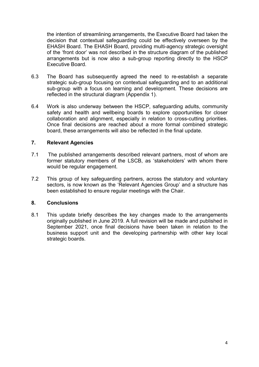the intention of streamlining arrangements, the Executive Board had taken the decision that contextual safeguarding could be effectively overseen by the EHASH Board. The EHASH Board, providing multi-agency strategic oversight of the 'front door' was not described in the structure diagram of the published arrangements but is now also a sub-group reporting directly to the HSCP Executive Board.

- 6.3 The Board has subsequently agreed the need to re-establish a separate strategic sub-group focusing on contextual safeguarding and to an additional sub-group with a focus on learning and development. These decisions are reflected in the structural diagram (Appendix 1).
- 6.4 Work is also underway between the HSCP, safeguarding adults, community safety and health and wellbeing boards to explore opportunities for closer collaboration and alignment, especially in relation to cross-cutting priorities. Once final decisions are reached about a more formal combined strategic board, these arrangements will also be reflected in the final update.

#### 7. Relevant Agencies

- 7.1 The published arrangements described relevant partners, most of whom are former statutory members of the LSCB, as 'stakeholders' with whom there would be regular engagement.
- 7.2 This group of key safeguarding partners, across the statutory and voluntary sectors, is now known as the 'Relevant Agencies Group' and a structure has been established to ensure regular meetings with the Chair.

#### 8. Conclusions

8.1 This update briefly describes the key changes made to the arrangements originally published in June 2019. A full revision will be made and published in September 2021, once final decisions have been taken in relation to the business support unit and the developing partnership with other key local strategic boards.